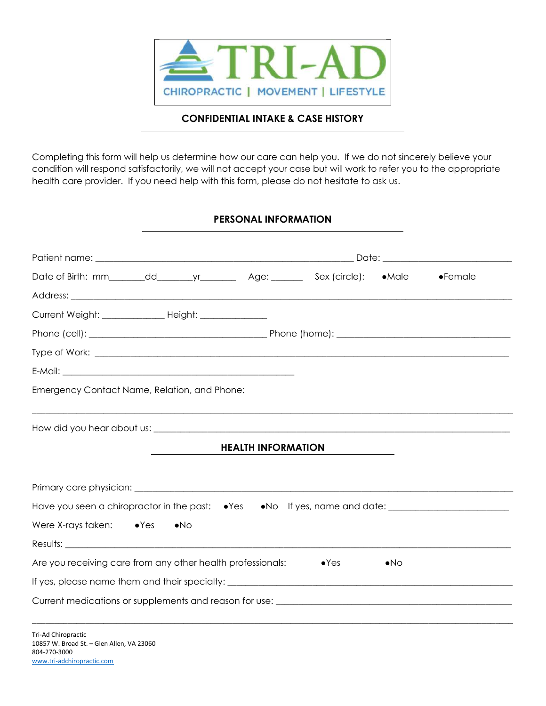

## CONFIDENTIAL INTAKE & CASE HISTORY

Completing this form will help us determine how our care can help you. If we do not sincerely believe your condition will respond satisfactorily, we will not accept your case but will work to refer you to the appropriate health care provider. If you need help with this form, please do not hesitate to ask us.

## PERSONAL INFORMATION

| Current Weight: ________________ Height: ______________                                                                                                                                                                        |                                                             |  |                           |               |              |  |  |
|--------------------------------------------------------------------------------------------------------------------------------------------------------------------------------------------------------------------------------|-------------------------------------------------------------|--|---------------------------|---------------|--------------|--|--|
|                                                                                                                                                                                                                                |                                                             |  |                           |               |              |  |  |
|                                                                                                                                                                                                                                |                                                             |  |                           |               |              |  |  |
|                                                                                                                                                                                                                                |                                                             |  |                           |               |              |  |  |
| Emergency Contact Name, Relation, and Phone:                                                                                                                                                                                   |                                                             |  |                           |               |              |  |  |
|                                                                                                                                                                                                                                |                                                             |  |                           |               |              |  |  |
|                                                                                                                                                                                                                                |                                                             |  |                           |               |              |  |  |
|                                                                                                                                                                                                                                |                                                             |  | <b>HEALTH INFORMATION</b> |               |              |  |  |
|                                                                                                                                                                                                                                |                                                             |  |                           |               |              |  |  |
|                                                                                                                                                                                                                                |                                                             |  |                           |               |              |  |  |
| Have you seen a chiropractor in the past: •Yes •No If yes, name and date: __________________________                                                                                                                           |                                                             |  |                           |               |              |  |  |
| Were X-rays taken: $\bullet$ Yes $\bullet$ No                                                                                                                                                                                  |                                                             |  |                           |               |              |  |  |
| Results: The contract of the contract of the contract of the contract of the contract of the contract of the contract of the contract of the contract of the contract of the contract of the contract of the contract of the c |                                                             |  |                           |               |              |  |  |
|                                                                                                                                                                                                                                | Are you receiving care from any other health professionals: |  |                           | $\bullet$ Yes | $\bullet$ No |  |  |
|                                                                                                                                                                                                                                |                                                             |  |                           |               |              |  |  |
|                                                                                                                                                                                                                                |                                                             |  |                           |               |              |  |  |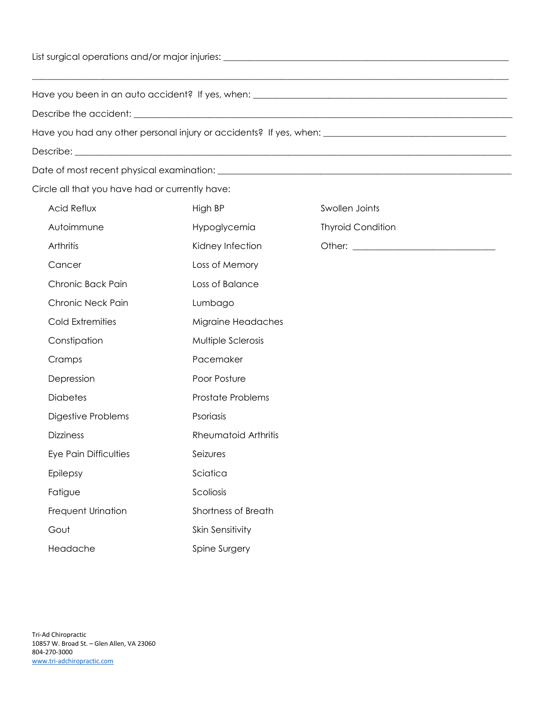| Circle all that you have had or currently have: |                             |                          |  |
|-------------------------------------------------|-----------------------------|--------------------------|--|
| <b>Acid Reflux</b>                              | High BP                     | Swollen Joints           |  |
| Autoimmune                                      | Hypoglycemia                | <b>Thyroid Condition</b> |  |
| Arthritis                                       | Kidney Infection            |                          |  |
| Cancer                                          | Loss of Memory              |                          |  |
| Chronic Back Pain                               | Loss of Balance             |                          |  |
| Chronic Neck Pain                               | Lumbago                     |                          |  |
| Cold Extremities                                | Migraine Headaches          |                          |  |
| Constipation                                    | Multiple Sclerosis          |                          |  |
| Cramps                                          | Pacemaker                   |                          |  |
| Depression                                      | Poor Posture                |                          |  |
| <b>Diabetes</b>                                 | <b>Prostate Problems</b>    |                          |  |
| Digestive Problems                              | Psoriasis                   |                          |  |
| <b>Dizziness</b>                                | <b>Rheumatoid Arthritis</b> |                          |  |
| Eye Pain Difficulties                           | Seizures                    |                          |  |
| Epilepsy                                        | Sciatica                    |                          |  |
| Fatigue                                         | Scoliosis                   |                          |  |
| Frequent Urination                              | Shortness of Breath         |                          |  |
| Gout                                            | Skin Sensitivity            |                          |  |
| Headache                                        | Spine Surgery               |                          |  |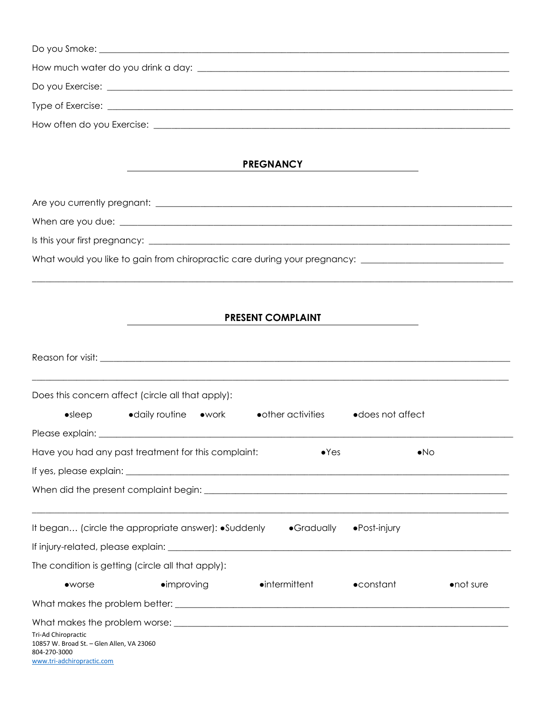|                                                                                                                | Do you Exercise: <u>example and the second contract of the second contract of the second contract of the second contract of the second contract of the second contract of the second contract of the second contract of the seco</u> |                            |                       |            |
|----------------------------------------------------------------------------------------------------------------|--------------------------------------------------------------------------------------------------------------------------------------------------------------------------------------------------------------------------------------|----------------------------|-----------------------|------------|
|                                                                                                                |                                                                                                                                                                                                                                      |                            |                       |            |
|                                                                                                                |                                                                                                                                                                                                                                      |                            |                       |            |
|                                                                                                                |                                                                                                                                                                                                                                      |                            |                       |            |
|                                                                                                                |                                                                                                                                                                                                                                      | <b>PREGNANCY</b>           |                       |            |
|                                                                                                                |                                                                                                                                                                                                                                      |                            |                       |            |
|                                                                                                                |                                                                                                                                                                                                                                      |                            |                       |            |
|                                                                                                                |                                                                                                                                                                                                                                      |                            |                       |            |
|                                                                                                                |                                                                                                                                                                                                                                      |                            |                       |            |
|                                                                                                                |                                                                                                                                                                                                                                      |                            |                       |            |
|                                                                                                                |                                                                                                                                                                                                                                      |                            |                       |            |
|                                                                                                                |                                                                                                                                                                                                                                      | <b>PRESENT COMPLAINT</b>   |                       |            |
|                                                                                                                |                                                                                                                                                                                                                                      |                            |                       |            |
|                                                                                                                |                                                                                                                                                                                                                                      |                            |                       |            |
|                                                                                                                |                                                                                                                                                                                                                                      |                            |                       |            |
|                                                                                                                | Does this concern affect (circle all that apply):                                                                                                                                                                                    |                            |                       |            |
| $\bullet$ sleep                                                                                                | • daily routine • work                                                                                                                                                                                                               | $\bullet$ other activities | • does not affect     |            |
|                                                                                                                |                                                                                                                                                                                                                                      |                            |                       |            |
|                                                                                                                | Have you had any past treatment for this complaint:                                                                                                                                                                                  | $\bullet$ Yes              | $\bullet$ No          |            |
|                                                                                                                |                                                                                                                                                                                                                                      |                            |                       |            |
|                                                                                                                |                                                                                                                                                                                                                                      |                            |                       |            |
|                                                                                                                |                                                                                                                                                                                                                                      |                            |                       |            |
|                                                                                                                | It began (circle the appropriate answer): •Suddenly • Gradually                                                                                                                                                                      |                            | $\bullet$ Post-injury |            |
|                                                                                                                |                                                                                                                                                                                                                                      |                            |                       |            |
|                                                                                                                | The condition is getting (circle all that apply):                                                                                                                                                                                    |                            |                       |            |
| $\bullet$ worse                                                                                                | $\bullet$ improving                                                                                                                                                                                                                  | $\bullet$ intermittent     | $\bullet$ constant    | • not sure |
|                                                                                                                |                                                                                                                                                                                                                                      |                            |                       |            |
|                                                                                                                |                                                                                                                                                                                                                                      |                            |                       |            |
| Tri-Ad Chiropractic<br>10857 W. Broad St. - Glen Allen, VA 23060<br>804-270-3000<br>www.tri-adchiropractic.com |                                                                                                                                                                                                                                      |                            |                       |            |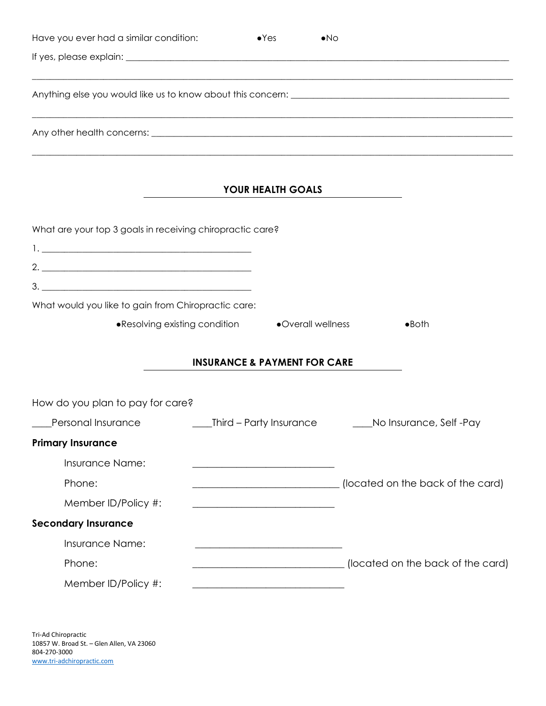| Have you ever had a similar condition:                    | $\bullet$ Yes                                       | $\bullet$ No                                                                                                          |                                   |
|-----------------------------------------------------------|-----------------------------------------------------|-----------------------------------------------------------------------------------------------------------------------|-----------------------------------|
|                                                           |                                                     |                                                                                                                       |                                   |
|                                                           |                                                     |                                                                                                                       |                                   |
|                                                           |                                                     |                                                                                                                       |                                   |
|                                                           | YOUR HEALTH GOALS                                   | <u> 1989 - Johann Harry Harry Harry Harry Harry Harry Harry Harry Harry Harry Harry Harry Harry Harry Harry Harry</u> |                                   |
| What are your top 3 goals in receiving chiropractic care? |                                                     |                                                                                                                       |                                   |
| What would you like to gain from Chiropractic care:       |                                                     |                                                                                                                       |                                   |
|                                                           | • Resolving existing condition • • Overall wellness |                                                                                                                       | $\bullet$ Both                    |
|                                                           | <b>INSURANCE &amp; PAYMENT FOR CARE</b>             |                                                                                                                       |                                   |
| How do you plan to pay for care?                          |                                                     |                                                                                                                       |                                   |
| _Personal Insurance _______________                       |                                                     | _Third – Party Insurance __________No Insurance, Self -Pay                                                            |                                   |
| <b>Primary Insurance</b>                                  |                                                     |                                                                                                                       |                                   |
| Insurance Name:                                           |                                                     |                                                                                                                       |                                   |
| Phone:                                                    |                                                     | (located on the back of the card)                                                                                     |                                   |
| Member ID/Policy #:                                       |                                                     |                                                                                                                       |                                   |
| <b>Secondary Insurance</b>                                |                                                     |                                                                                                                       |                                   |
| Insurance Name:                                           |                                                     |                                                                                                                       |                                   |
| Phone:                                                    |                                                     |                                                                                                                       | (located on the back of the card) |
| Member ID/Policy #:                                       |                                                     |                                                                                                                       |                                   |